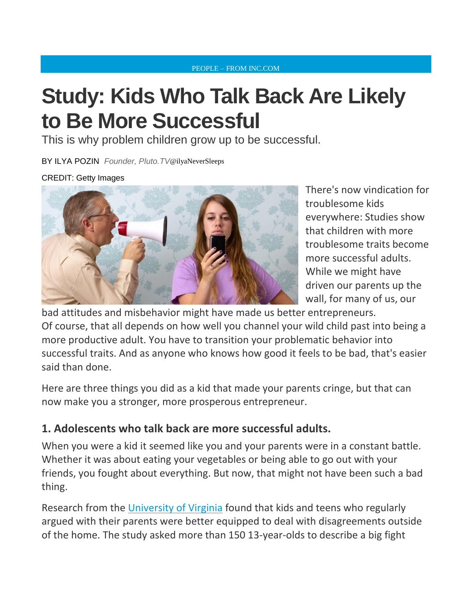#### [PEOPLE](http://www.inc.com/people) – FROM INC.COM

# **Study: Kids Who Talk Back Are Likely to Be More Successful**

This is why problem children grow up to be successful.

BY ILYA [POZIN](http://www.inc.com/author/ilya-pozin) *Founder, Pluto.TV*@[ilyaNeverSleeps](http://www.twitter.com/ilyaNeverSleeps)

#### CREDIT: Getty Images



There's now vindication for troublesome kids everywhere: Studies show that children with more troublesome traits become more successful adults. While we might have driven our parents up the wall, for many of us, our

bad attitudes and misbehavior might have made us better entrepreneurs. Of course, that all depends on how well you channel your wild child past into being a more productive adult. You have to transition your problematic behavior into successful traits. And as anyone who knows how good it feels to be bad, that's easier said than done.

Here are three things you did as a kid that made your parents cringe, but that can now make you a stronger, more prosperous entrepreneur.

### **1. Adolescents who talk back are more successful adults.**

When you were a kid it seemed like you and your parents were in a constant battle. Whether it was about eating your vegetables or being able to go out with your friends, you fought about everything. But now, that might not have been such a bad thing.

Research from the [University of Virginia](http://onlinelibrary.wiley.com/doi/10.1111/j.1467-8624.2011.01682.x/abstract) found that kids and teens who regularly argued with their parents were better equipped to deal with disagreements outside of the home. The study asked more than 150 13-year-olds to describe a big fight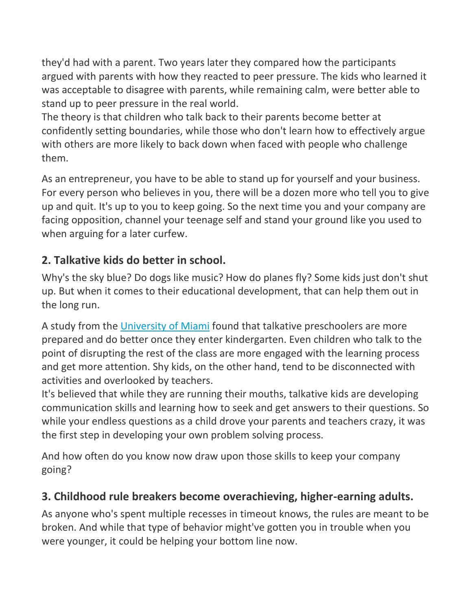they'd had with a parent. Two years later they compared how the participants argued with parents with how they reacted to peer pressure. The kids who learned it was acceptable to disagree with parents, while remaining calm, were better able to stand up to peer pressure in the real world.

The theory is that children who talk back to their parents become better at confidently setting boundaries, while those who don't learn how to effectively argue with others are more likely to back down when faced with people who challenge them.

As an entrepreneur, you have to be able to stand up for yourself and your business. For every person who believes in you, there will be a dozen more who tell you to give up and quit. It's up to you to keep going. So the next time you and your company are facing opposition, channel your teenage self and stand your ground like you used to when arguing for a later curfew.

## **2. Talkative kids do better in school.**

Why's the sky blue? Do dogs like music? How do planes fly? Some kids just don't shut up. But when it comes to their educational development, that can help them out in the long run.

A study from the [University of Miami](https://www.sri.com/sites/default/files/publications/latent_profiles_of_problem_behavior_within_learning_peer_and_teacher_contexts.pdf) found that talkative preschoolers are more prepared and do better once they enter kindergarten. Even children who talk to the point of disrupting the rest of the class are more engaged with the learning process and get more attention. Shy kids, on the other hand, tend to be disconnected with activities and overlooked by teachers.

It's believed that while they are running their mouths, talkative kids are developing communication skills and learning how to seek and get answers to their questions. So while your endless questions as a child drove your parents and teachers crazy, it was the first step in developing your own problem solving process.

And how often do you know now draw upon those skills to keep your company going?

## **3. Childhood rule breakers become overachieving, higher-earning adults.**

As anyone who's spent multiple recesses in timeout knows, the rules are meant to be broken. And while that type of behavior might've gotten you in trouble when you were younger, it could be helping your bottom line now.